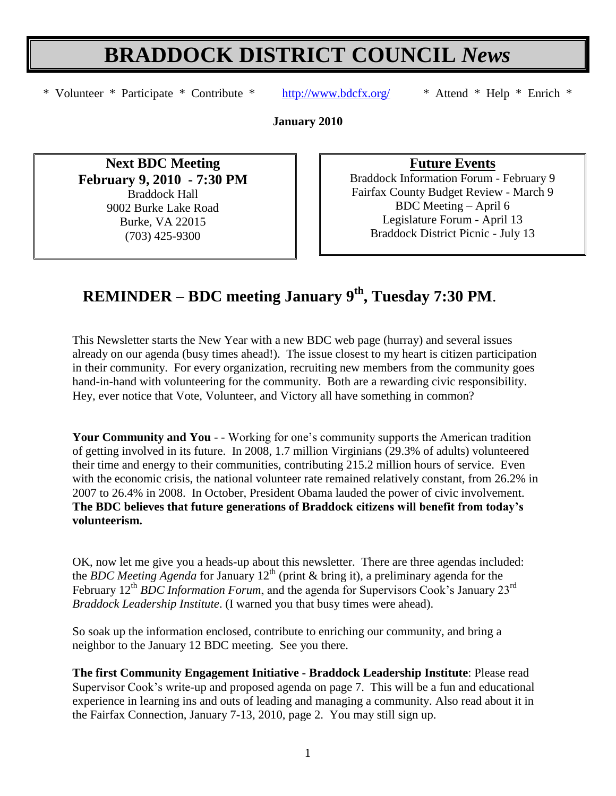# **BRADDOCK DISTRICT COUNCIL** *News*

\* Volunteer \* Participate \* Contribute \* <http://www.bdcfx.org/>\* Attend \* Help \* Enrich \*

**January 2010**

**Next BDC Meeting February 9, 2010 - 7:30 PM** Braddock Hall 9002 Burke Lake Road Burke, VA 22015 (703) 425-9300

**Future Events**

Braddock Information Forum - February 9 Fairfax County Budget Review - March 9 BDC Meeting – April 6 Legislature Forum - April 13 Braddock District Picnic - July 13

# **REMINDER – BDC meeting January 9th , Tuesday 7:30 PM**.

This Newsletter starts the New Year with a new BDC web page (hurray) and several issues already on our agenda (busy times ahead!). The issue closest to my heart is citizen participation in their community. For every organization, recruiting new members from the community goes hand-in-hand with volunteering for the community. Both are a rewarding civic responsibility. Hey, ever notice that Vote, Volunteer, and Victory all have something in common?

**Your Community and You** - - Working for one's community supports the American tradition of getting involved in its future. In 2008, 1.7 million Virginians (29.3% of adults) volunteered their time and energy to their communities, contributing 215.2 million hours of service. Even with the economic crisis, the national volunteer rate remained relatively constant, from 26.2% in 2007 to 26.4% in 2008. In October, President Obama lauded the power of civic involvement. **The BDC believes that future generations of Braddock citizens will benefit from today's volunteerism.** 

OK, now let me give you a heads-up about this newsletter. There are three agendas included: the *BDC Meeting Agenda* for January 12<sup>th</sup> (print & bring it), a preliminary agenda for the February 12<sup>th</sup> *BDC Information Forum*, and the agenda for Supervisors Cook's January 23<sup>rd</sup> *Braddock Leadership Institute*. (I warned you that busy times were ahead).

So soak up the information enclosed, contribute to enriching our community, and bring a neighbor to the January 12 BDC meeting. See you there.

**The first Community Engagement Initiative - Braddock Leadership Institute**: Please read Supervisor Cook's write-up and proposed agenda on page 7. This will be a fun and educational experience in learning ins and outs of leading and managing a community. Also read about it in the Fairfax Connection, January 7-13, 2010, page 2. You may still sign up.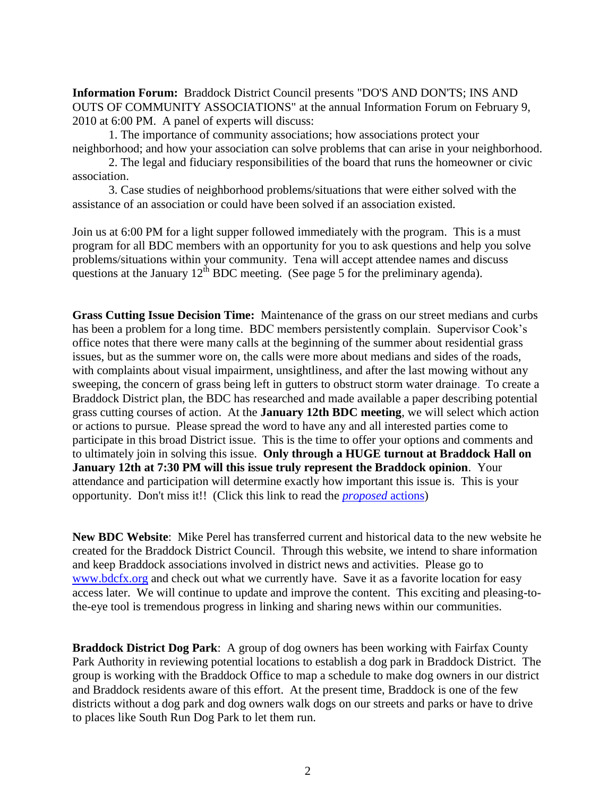**Information Forum:** Braddock District Council presents "DO'S AND DON'TS; INS AND OUTS OF COMMUNITY ASSOCIATIONS" at the annual Information Forum on February 9, 2010 at 6:00 PM. A panel of experts will discuss:

1. The importance of community associations; how associations protect your neighborhood; and how your association can solve problems that can arise in your neighborhood.

2. The legal and fiduciary responsibilities of the board that runs the homeowner or civic association.

3. Case studies of neighborhood problems/situations that were either solved with the assistance of an association or could have been solved if an association existed.

Join us at 6:00 PM for a light supper followed immediately with the program. This is a must program for all BDC members with an opportunity for you to ask questions and help you solve problems/situations within your community. Tena will accept attendee names and discuss questions at the January  $12^{th}$  BDC meeting. (See page 5 for the preliminary agenda).

**Grass Cutting Issue Decision Time:** Maintenance of the grass on our street medians and curbs has been a problem for a long time. BDC members persistently complain. Supervisor Cook's office notes that there were many calls at the beginning of the summer about residential grass issues, but as the summer wore on, the calls were more about medians and sides of the roads, with complaints about visual impairment, unsightliness, and after the last mowing without any sweeping, the concern of grass being left in gutters to obstruct storm water drainage. To create a Braddock District plan, the BDC has researched and made available a paper describing potential grass cutting courses of action. At the **January 12th BDC meeting**, we will select which action or actions to pursue. Please spread the word to have any and all interested parties come to participate in this broad District issue. This is the time to offer your options and comments and to ultimately join in solving this issue. **Only through a HUGE turnout at Braddock Hall on January 12th at 7:30 PM will this issue truly represent the Braddock opinion**. Your attendance and participation will determine exactly how important this issue is. This is your opportunity. Don't miss it!! (Click this link to read the *[proposed](http://www.bdcfx.org/home/announcements-and-events/grasscuttingoptionstodiscussatnextmeeting)* actions)

**New BDC Website**: Mike Perel has transferred current and historical data to the new website he created for the Braddock District Council. Through this website, we intend to share information and keep Braddock associations involved in district news and activities. Please go to [www.bdcfx.org](http://www.bdcfx.org/) and check out what we currently have. Save it as a favorite location for easy access later. We will continue to update and improve the content. This exciting and pleasing-tothe-eye tool is tremendous progress in linking and sharing news within our communities.

**Braddock District Dog Park**: A group of dog owners has been working with Fairfax County Park Authority in reviewing potential locations to establish a dog park in Braddock District. The group is working with the Braddock Office to map a schedule to make dog owners in our district and Braddock residents aware of this effort. At the present time, Braddock is one of the few districts without a dog park and dog owners walk dogs on our streets and parks or have to drive to places like South Run Dog Park to let them run.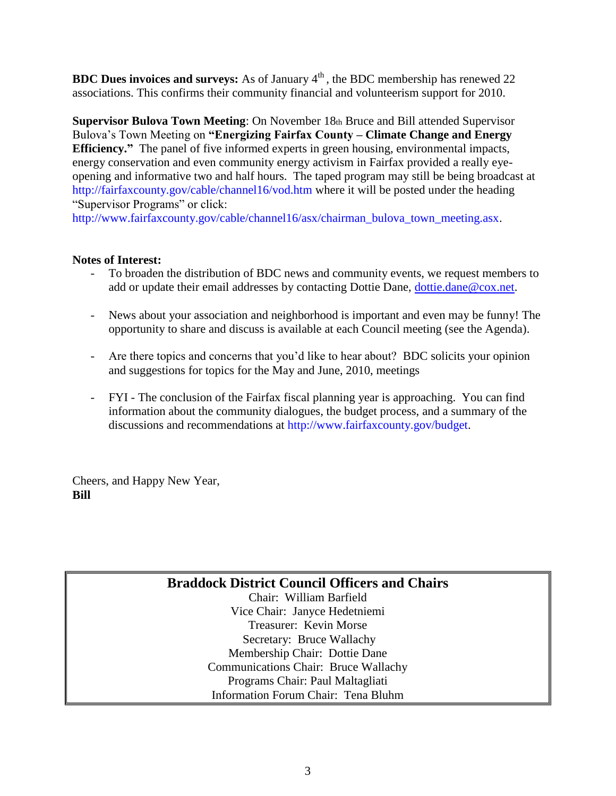**BDC Dues invoices and surveys:** As of January  $4<sup>th</sup>$ , the BDC membership has renewed 22 associations. This confirms their community financial and volunteerism support for 2010.

**Supervisor Bulova Town Meeting**: On November 18th Bruce and Bill attended Supervisor Bulova's Town Meeting on **"Energizing Fairfax County – Climate Change and Energy Efficiency."** The panel of five informed experts in green housing, environmental impacts, energy conservation and even community energy activism in Fairfax provided a really eyeopening and informative two and half hours. The taped program may still be being broadcast at http://fairfaxcounty.gov/cable/channel16/vod.htm where it will be posted under the heading "Supervisor Programs" or click:

http://www.fairfaxcounty.gov/cable/channel16/asx/chairman\_bulova\_town\_meeting.asx.

#### **Notes of Interest:**

- To broaden the distribution of BDC news and community events, we request members to add or update their email addresses by contacting Dottie Dane, [dottie.dane@cox.net.](mailto:dottie.dane@cox.net)
- News about your association and neighborhood is important and even may be funny! The opportunity to share and discuss is available at each Council meeting (see the Agenda).
- Are there topics and concerns that you'd like to hear about? BDC solicits your opinion and suggestions for topics for the May and June, 2010, meetings
- FYI The conclusion of the Fairfax fiscal planning year is approaching. You can find information about the community dialogues, the budget process, and a summary of the discussions and recommendations at http://www.fairfaxcounty.gov/budget.

Cheers, and Happy New Year, **Bill**

### **Braddock District Council Officers and Chairs**

Chair: William Barfield Vice Chair: Janyce Hedetniemi Treasurer: Kevin Morse Secretary: Bruce Wallachy Membership Chair: Dottie Dane Communications Chair: Bruce Wallachy Programs Chair: Paul Maltagliati Information Forum Chair: Tena Bluhm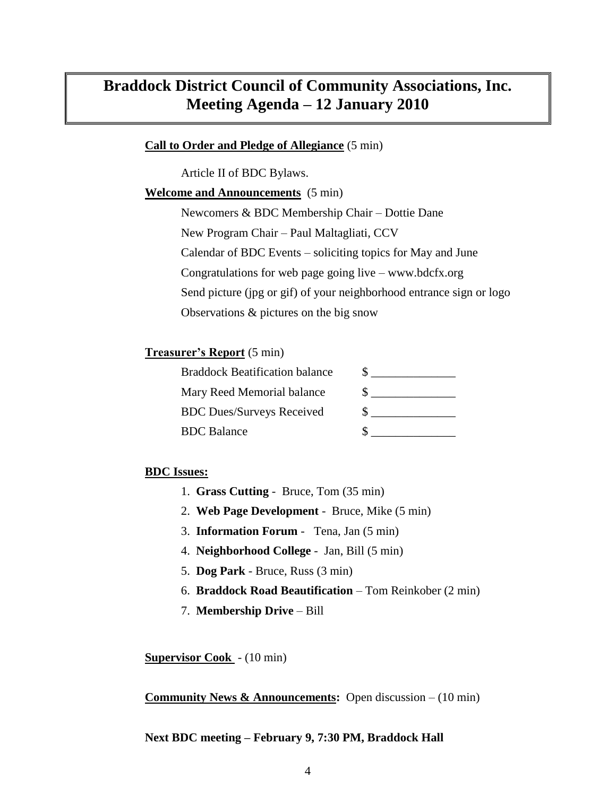# **Braddock District Council of Community Associations, Inc. Meeting Agenda – 12 January 2010**

#### **Call to Order and Pledge of Allegiance** (5 min)

Article II of BDC Bylaws.

#### **Welcome and Announcements** (5 min)

Newcomers & BDC Membership Chair – Dottie Dane New Program Chair – Paul Maltagliati, CCV Calendar of BDC Events – soliciting topics for May and June Congratulations for web page going live – www.bdcfx.org Send picture (jpg or gif) of your neighborhood entrance sign or logo Observations & pictures on the big snow

#### **Treasurer's Report** (5 min)

| <b>Braddock Beatification balance</b> |  |
|---------------------------------------|--|
| Mary Reed Memorial balance            |  |
| <b>BDC Dues/Surveys Received</b>      |  |
| <b>BDC</b> Balance                    |  |

#### **BDC Issues:**

- 1. **Grass Cutting**  Bruce, Tom (35 min)
- 2. **Web Page Development** Bruce, Mike (5 min)
- 3. **Information Forum** Tena, Jan (5 min)
- 4. **Neighborhood College** Jan, Bill (5 min)
- 5. **Dog Park** Bruce, Russ (3 min)
- 6. **Braddock Road Beautification** Tom Reinkober (2 min)
- 7. **Membership Drive** Bill

**Supervisor Cook** - (10 min)

**Community News & Announcements:** Open discussion – (10 min)

#### **Next BDC meeting – February 9, 7:30 PM, Braddock Hall**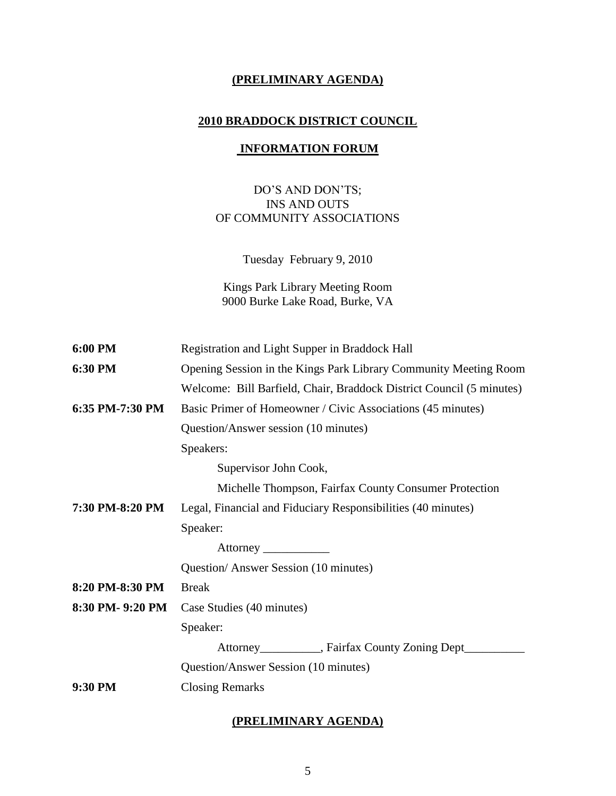#### **(PRELIMINARY AGENDA)**

#### **2010 BRADDOCK DISTRICT COUNCIL**

#### **INFORMATION FORUM**

#### DO'S AND DON'TS; INS AND OUTS OF COMMUNITY ASSOCIATIONS

Tuesday February 9, 2010

Kings Park Library Meeting Room 9000 Burke Lake Road, Burke, VA

| 6:00 PM          | Registration and Light Supper in Braddock Hall                       |  |
|------------------|----------------------------------------------------------------------|--|
| 6:30 PM          | Opening Session in the Kings Park Library Community Meeting Room     |  |
|                  | Welcome: Bill Barfield, Chair, Braddock District Council (5 minutes) |  |
| 6:35 PM-7:30 PM  | Basic Primer of Homeowner / Civic Associations (45 minutes)          |  |
|                  | Question/Answer session (10 minutes)                                 |  |
|                  | Speakers:                                                            |  |
|                  | Supervisor John Cook,                                                |  |
|                  | Michelle Thompson, Fairfax County Consumer Protection                |  |
| 7:30 PM-8:20 PM  | Legal, Financial and Fiduciary Responsibilities (40 minutes)         |  |
|                  | Speaker:                                                             |  |
|                  |                                                                      |  |
|                  | Question/Answer Session (10 minutes)                                 |  |
| 8:20 PM-8:30 PM  | <b>Break</b>                                                         |  |
| 8:30 PM- 9:20 PM | Case Studies (40 minutes)                                            |  |
|                  | Speaker:                                                             |  |
|                  | Attorney___________, Fairfax County Zoning Dept______                |  |
|                  | Question/Answer Session (10 minutes)                                 |  |
| 9:30 PM          | <b>Closing Remarks</b>                                               |  |
|                  |                                                                      |  |

## **(PRELIMINARY AGENDA)**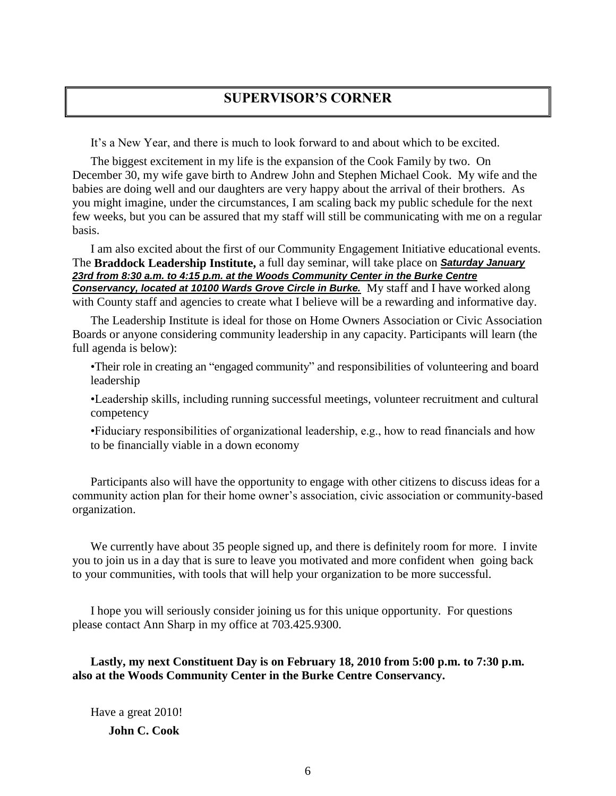# **SUPERVISOR'S CORNER**

It's a New Year, and there is much to look forward to and about which to be excited.

The biggest excitement in my life is the expansion of the Cook Family by two. On December 30, my wife gave birth to Andrew John and Stephen Michael Cook. My wife and the babies are doing well and our daughters are very happy about the arrival of their brothers. As you might imagine, under the circumstances, I am scaling back my public schedule for the next few weeks, but you can be assured that my staff will still be communicating with me on a regular basis.

I am also excited about the first of our Community Engagement Initiative educational events. The **Braddock Leadership Institute,** a full day seminar, will take place on *Saturday January 23rd from 8:30 a.m. to 4:15 p.m. at the Woods Community Center in the Burke Centre Conservancy, located at 10100 Wards Grove Circle in Burke.* My staff and I have worked along with County staff and agencies to create what I believe will be a rewarding and informative day.

The Leadership Institute is ideal for those on Home Owners Association or Civic Association Boards or anyone considering community leadership in any capacity. Participants will learn (the full agenda is below):

•Their role in creating an "engaged community" and responsibilities of volunteering and board leadership

•Leadership skills, including running successful meetings, volunteer recruitment and cultural competency

•Fiduciary responsibilities of organizational leadership, e.g., how to read financials and how to be financially viable in a down economy

Participants also will have the opportunity to engage with other citizens to discuss ideas for a community action plan for their home owner's association, civic association or community-based organization.

We currently have about 35 people signed up, and there is definitely room for more. I invite you to join us in a day that is sure to leave you motivated and more confident when going back to your communities, with tools that will help your organization to be more successful.

I hope you will seriously consider joining us for this unique opportunity. For questions please contact Ann Sharp in my office at 703.425.9300.

**Lastly, my next Constituent Day is on February 18, 2010 from 5:00 p.m. to 7:30 p.m. also at the Woods Community Center in the Burke Centre Conservancy.**

Have a great 2010! **John C. Cook**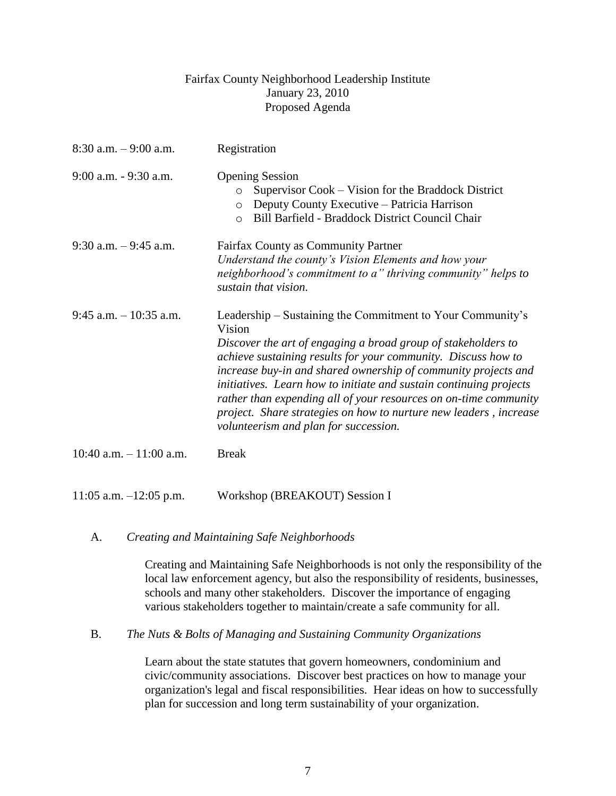#### Fairfax County Neighborhood Leadership Institute January 23, 2010 Proposed Agenda

| $8:30$ a.m. $-9:00$ a.m.   | Registration                                                                                                                                                                                                                                                                                                                                                                                                                                                                                                                     |
|----------------------------|----------------------------------------------------------------------------------------------------------------------------------------------------------------------------------------------------------------------------------------------------------------------------------------------------------------------------------------------------------------------------------------------------------------------------------------------------------------------------------------------------------------------------------|
| $9:00$ a.m. $-9:30$ a.m.   | <b>Opening Session</b><br>Supervisor Cook – Vision for the Braddock District<br>$\circ$<br>Deputy County Executive – Patricia Harrison<br>$\circ$<br>Bill Barfield - Braddock District Council Chair<br>$\circ$                                                                                                                                                                                                                                                                                                                  |
| $9:30$ a.m. $-9:45$ a.m.   | Fairfax County as Community Partner<br>Understand the county's Vision Elements and how your<br>neighborhood's commitment to a" thriving community" helps to<br>sustain that vision.                                                                                                                                                                                                                                                                                                                                              |
| $9:45$ a.m. $-10:35$ a.m.  | Leadership – Sustaining the Commitment to Your Community's<br>Vision<br>Discover the art of engaging a broad group of stakeholders to<br>achieve sustaining results for your community. Discuss how to<br>increase buy-in and shared ownership of community projects and<br>initiatives. Learn how to initiate and sustain continuing projects<br>rather than expending all of your resources on on-time community<br>project. Share strategies on how to nurture new leaders, increase<br>volunteerism and plan for succession. |
| 10:40 a.m. $-11:00$ a.m.   | <b>Break</b>                                                                                                                                                                                                                                                                                                                                                                                                                                                                                                                     |
| $11:05$ a.m. $-12:05$ p.m. | Workshop (BREAKOUT) Session I                                                                                                                                                                                                                                                                                                                                                                                                                                                                                                    |

#### A. *Creating and Maintaining Safe Neighborhoods*

Creating and Maintaining Safe Neighborhoods is not only the responsibility of the local law enforcement agency, but also the responsibility of residents, businesses, schools and many other stakeholders. Discover the importance of engaging various stakeholders together to maintain/create a safe community for all.

#### B. *The Nuts & Bolts of Managing and Sustaining Community Organizations*

Learn about the state statutes that govern homeowners, condominium and civic/community associations. Discover best practices on how to manage your organization's legal and fiscal responsibilities. Hear ideas on how to successfully plan for succession and long term sustainability of your organization.